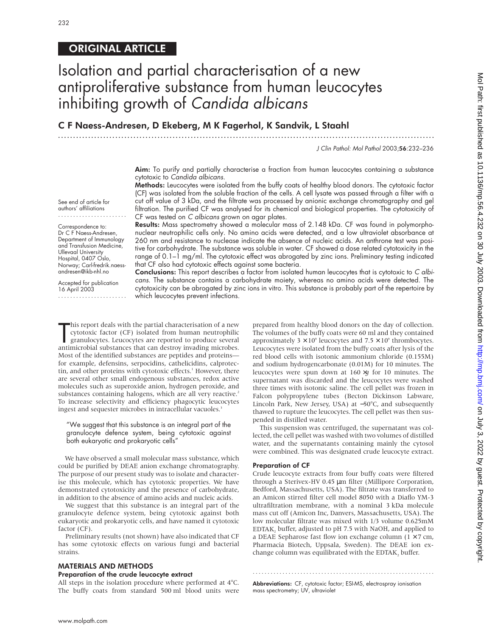See end of article for authors' affiliations ....................... Correspondence to: Dr C F Naess-Andresen, Department of Immunology and Transfusion Medicine, Ullevaal University Hospital, 0407 Oslo, Norway; Carl-fredrik.naessandresen@ikb-nhl.no Accepted for publication 16 April 2003

.......................

# ORIGINAL ARTICLE

# Isolation and partial characterisation of a new antiproliferative substance from human leucocytes inhibiting growth of Candida albicans

C F Naess-Andresen, D Ekeberg, M K Fagerhol, K Sandvik, L Staahl

.............................................................................................................................

J Clin Pathol: Mol Pathol 2003;56:232–236

Aim: To purify and partially characterise a fraction from human leucocytes containing a substance cytotoxic to Candida albicans.

Methods: Leucocytes were isolated from the buffy coats of healthy blood donors. The cytotoxic factor (CF) was isolated from the soluble fraction of the cells. A cell lysate was passed through a filter with a cut off value of 3 kDa, and the filtrate was processed by anionic exchange chromatography and gel filtration. The purified CF was analysed for its chemical and biological properties. The cytotoxicity of CF was tested on C albicans grown on agar plates.

Results: Mass spectrometry showed a molecular mass of 2.148 kDa. CF was found in polymorphonuclear neutrophilic cells only. No amino acids were detected, and a low ultraviolet absorbance at 260 nm and resistance to nuclease indicate the absence of nucleic acids. An anthrone test was positive for carbohydrate. The substance was soluble in water. CF showed a dose related cytotoxicity in the range of 0.1-1 mg/ml. The cytotoxic effect was abrogated by zinc ions. Preliminary testing indicated that CF also had cytotoxic effects against some bacteria.

Conclusions: This report describes a factor from isolated human leucocytes that is cytotoxic to C albicans. The substance contains a carbohydrate moiety, whereas no amino acids were detected. The cytotoxicity can be abrogated by zinc ions in vitro. This substance is probably part of the repertoire by which leucocytes prevent infections.

This report deals with the partial characterisation of a new<br>cytotoxic factor (CF) isolated from human neutrophilic<br>granulocytes. Leucocytes are reported to produce several<br>antimicrobial substances that can destroy invadin his report deals with the partial characterisation of a new cytotoxic factor (CF) isolated from human neutrophilic granulocytes. Leucocytes are reported to produce several Most of the identified substances are peptides and proteins for example, defensins, serpocidins, cathelicidins, calprotectin, and other proteins with cytotoxic effects.<sup>1</sup> However, there are several other small endogenous substances, redox active molecules such as superoxide anion, hydrogen peroxide, and substances containing halogens, which are all very reactive.<sup>2</sup> To increase selectivity and efficiency phagocytic leucocytes ingest and sequester microbes in intracellular vacuoles.<sup>3</sup>

"We suggest that this substance is an integral part of the granulocyte defence system, being cytotoxic against both eukaryotic and prokaryotic cells"

We have observed a small molecular mass substance, which could be purified by DEAE anion exchange chromatography. The purpose of our present study was to isolate and characterise this molecule, which has cytotoxic properties. We have demonstrated cytotoxicity and the presence of carbohydrate, in addition to the absence of amino acids and nucleic acids.

We suggest that this substance is an integral part of the granulocyte defence system, being cytotoxic against both eukaryotic and prokaryotic cells, and have named it cytotoxic factor (CF).

Preliminary results (not shown) have also indicated that CF has some cytotoxic effects on various fungi and bacterial strains.

# MATERIALS AND METHODS

# Preparation of the crude leucocyte extract

All steps in the isolation procedure where performed at 4°C. The buffy coats from standard 500 ml blood units were prepared from healthy blood donors on the day of collection. The volumes of the buffy coats were 60 ml and they contained approximately  $3 \times 10^9$  leucocytes and  $7.5 \times 10^9$  thrombocytes. Leucocytes were isolated from the buffy coats after lysis of the red blood cells with isotonic ammonium chloride (0.155M) and sodium hydrogencarbonate (0.01M) for 10 minutes. The leucocytes were spun down at 160 <sup>×</sup>*g* for 10 minutes. The supernatant was discarded and the leucocytes were washed three times with isotonic saline. The cell pellet was frozen in Falcon polypropylene tubes (Becton Dickinson Labware, Lincoln Park, New Jersey, USA) at −50°C, and subsequently thawed to rupture the leucocytes. The cell pellet was then suspended in distilled water.

This suspension was centrifuged, the supernatant was collected, the cell pellet was washed with two volumes of distilled water, and the supernatants containing mainly the cytosol were combined. This was designated crude leucocyte extract.

#### Preparation of CF

Crude leucocyte extracts from four buffy coats were filtered through a Sterivex-HV 0.45 µm filter (Millipore Corporation, Bedford, Massachusetts, USA). The filtrate was transferred to an Amicon stirred filter cell model 8050 with a Diaflo YM-3 ultrafiltration membrane, with a nominal 3 kDa molecule mass cut off (Amicon Inc, Danvers, Massachusetts, USA). The low molecular filtrate was mixed with 1/3 volume 0.625mM EDTAK, buffer, adjusted to pH 7.5 with NaOH, and applied to a DEAE Sepharose fast flow ion exchange column  $(1 \times 7 \text{ cm},$ Pharmacia Biotech, Uppsala, Sweden). The DEAE ion exchange column was equilibrated with the EDTAK<sub>2</sub> buffer.

Abbreviations: CF, cytotoxic factor; ESI-MS, electrospray ionisation mass spectrometry; UV, ultraviolet

.............................................................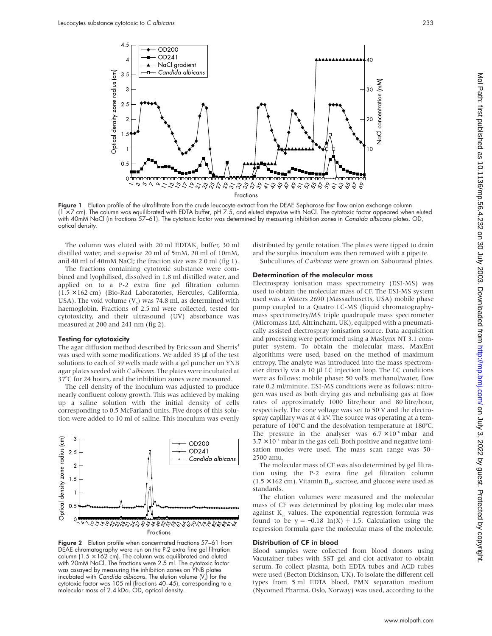

Figure 1 Elution profile of the ultrafiltrate from the crude leucocyte extract from the DEAE Sepharose fast flow anion exchange column (1 × 7 cm). The column was equilibrated with EDTA buffer, pH 7.5, and eluted stepwise with NaCl. The cytotoxic factor appeared when eluted with 40mM NaCl (in fractions 57–61). The cytotoxic factor was determined by measuring inhibition zones in Candida albicans plates. OD, optical density.

The column was eluted with 20 ml EDTAK, buffer, 30 ml distilled water, and stepwise 20 ml of 5mM, 20 ml of 10mM, and 40 ml of 40mM NaCl; the fraction size was 2.0 ml (fig 1).

The fractions containing cytotoxic substance were combined and lyophilised, dissolved in 1.8 ml distilled water, and applied on to a P-2 extra fine gel filtration column (1.5 × 162 cm) (Bio-Rad Laboratories, Hercules, California, USA). The void volume  $(V_0)$  was 74.8 ml, as determined with haemoglobin. Fractions of 2.5 ml were collected, tested for cytotoxicity, and their ultrasound (UV) absorbance was measured at 200 and 241 nm (fig 2).

#### Testing for cytotoxicity

The agar diffusion method described by Ericsson and Sherris<sup>4</sup> was used with some modifications. We added 35 µl of the test solutions to each of 39 wells made with a gel puncher on YNB agar plates seeded with *C albicans*. The plates were incubated at 37°C for 24 hours, and the inhibition zones were measured.

The cell density of the inoculum was adjusted to produce nearly confluent colony growth. This was achieved by making up a saline solution with the initial density of cells corresponding to 0.5 McFarland units. Five drops of this solution were added to 10 ml of saline. This inoculum was evenly



Figure 2 Elution profile when concentrated fractions 57-61 from DEAE chromatography were run on the P-2 extra fine gel filtration column (1.5  $\times$  162 cm). The column was equilibrated and eluted with 20mM NaCl. The fractions were 2.5 ml. The cytotoxic factor was assayed by measuring the inhibition zones on YNB plates incubated with Candida albicans. The elution volume  $(V<sub>n</sub>)$  for the cytotoxic factor was 105 ml (fractions 40–45), corresponding to a molecular mass of 2.4 kDa. OD, optical density.

distributed by gentle rotation. The plates were tipped to drain and the surplus inoculum was then removed with a pipette. Subcultures of *C albicans* were grown on Sabouraud plates.

# Determination of the molecular mass

Electrospray ionisation mass spectrometry (ESI-MS) was used to obtain the molecular mass of CF. The ESI-MS system used was a Waters 2690 (Massachusetts, USA) mobile phase pump coupled to a Quatro LC-MS (liquid chromatographymass spectrometry/MS triple quadrupole mass spectrometer (Micromass Ltd, Altrincham, UK), equipped with a pneumatically assisted electrospray ionisation source. Data acquisition and processing were performed using a Maslynx NT 3.1 computer system. To obtain the molecular mass, MaxEnt algorithms were used, based on the method of maximum entropy. The analyte was introduced into the mass spectrometer directly via a 10 µl LC injection loop. The LC conditions were as follows: mobile phase: 50 vol% methanol/water, flow rate 0.2 ml/minute. ESI-MS conditions were as follows: nitrogen was used as both drying gas and nebulising gas at flow rates of approximately 1000 litre/hour and 80 litre/hour, respectively. The cone voltage was set to 50 V and the electrospray capillary was at 4 kV. The source was operating at a temperature of 100°C and the desolvation temperature at 180°C. The pressure in the analyser was  $6.7 \times 10^{-6}$  mbar and 3.7 × 10<sup>−</sup><sup>5</sup> mbar in the gas cell. Both positive and negative ionisation modes were used. The mass scan range was 50– 2500 amu.

The molecular mass of CF was also determined by gel filtration using the P-2 extra fine gel filtration column  $(1.5 \times 162 \text{ cm})$ . Vitamin B<sub>12</sub>, sucrose, and glucose were used as standards.

The elution volumes were measured and the molecular mass of CF was determined by plotting log molecular mass against  $K_{av}$  values. The exponential regression formula was found to be  $y = -0.18 \ln(X) + 1.5$ . Calculation using the regression formula gave the molecular mass of the molecule.

# Distribution of CF in blood

Blood samples were collected from blood donors using Vacutainer tubes with SST gel and clot activator to obtain serum. To collect plasma, both EDTA tubes and ACD tubes were used (Becton Dickinson, UK). To isolate the different cell types from 5 ml EDTA blood, PMN separation medium (Nycomed Pharma, Oslo, Norway) was used, according to the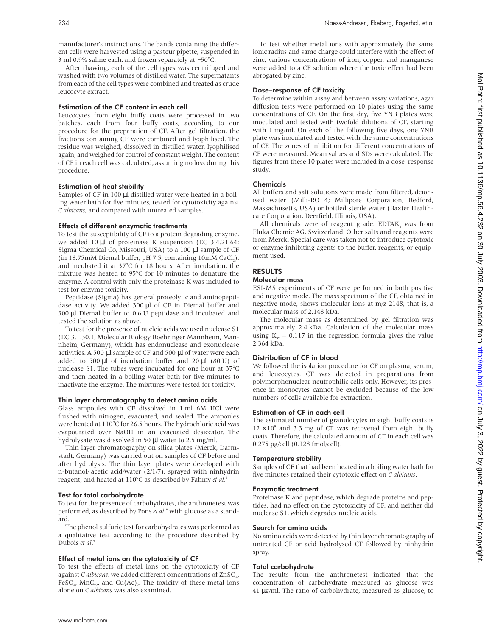manufacturer's instructions. The bands containing the different cells were harvested using a pasteur pipette, suspended in 3 ml 0.9% saline each, and frozen separately at −50°C.

After thawing, each of the cell types was centrifuged and washed with two volumes of distilled water. The supernatants from each of the cell types were combined and treated as crude leucocyte extract.

# Estimation of the CF content in each cell

Leucocytes from eight buffy coats were processed in two batches, each from four buffy coats, according to our procedure for the preparation of CF. After gel filtration, the fractions containing CF were combined and lyophilised. The residue was weighed, dissolved in distilled water, lyophilised again, and weighed for control of constant weight. The content of CF in each cell was calculated, assuming no loss during this procedure.

# Estimation of heat stability

Samples of CF in 100 µl distilled water were heated in a boiling water bath for five minutes, tested for cytotoxicity against *C albicans*, and compared with untreated samples.

# Effects of different enzymatic treatments

To test the susceptibility of CF to a protein degrading enzyme, we added 10 µl of proteinase K suspension (EC 3.4.21.64; Sigma Chemical Co, Missouri, USA) to a 100 µl sample of CF (in  $18.75 \text{mM}$  Diemal buffer, pH 7.5, containing  $10 \text{mM}$  CaCl<sub>2</sub>), and incubated it at 37°C for 18 hours. After incubation, the mixture was heated to 95°C for 10 minutes to denature the enzyme. A control with only the proteinase K was included to test for enzyme toxicity.

Peptidase (Sigma) has general proteolytic and aminopeptidase activity. We added 300 µl of CF in Diemal buffer and 300 µl Diemal buffer to 0.6 U peptidase and incubated and tested the solution as above.

To test for the presence of nucleic acids we used nuclease S1 (EC 3.1.30.1, Molecular Biology Boehringer Mannheim, Mannheim, Germany), which has endonuclease and exonuclease activities. A 500 µl sample of CF and 500 µl of water were each added to 500  $\mu$ l of incubation buffer and 20  $\mu$ l (80 U) of nuclease S1. The tubes were incubated for one hour at 37°C and then heated in a boiling water bath for five minutes to inactivate the enzyme. The mixtures were tested for toxicity.

# Thin layer chromatography to detect amino acids

Glass ampoules with CF dissolved in 1 ml 6M HCl were flushed with nitrogen, evacuated, and sealed. The ampoules were heated at 110°C for 26.5 hours. The hydrochloric acid was evapourated over NaOH in an evacuated desiccator. The hydrolysate was dissolved in 50 µl water to 2.5 mg/ml.

Thin layer chromatography on silica plates (Merck, Darmstadt, Germany) was carried out on samples of CF before and after hydrolysis. The thin layer plates were developed with n-butanol/ acetic acid/water (2/1/7), sprayed with ninhydrin reagent, and heated at 110°C as described by Fahmy *et al*. 5

# Test for total carbohydrate

To test for the presence of carbohydrates, the anthronetest was performed, as described by Pons *et al*, <sup>6</sup> with glucose as a standard.

The phenol sulfuric test for carbohydrates was performed as a qualitative test according to the procedure described by Dubois *et al*. 7

# Effect of metal ions on the cytotoxicity of CF

To test the effects of metal ions on the cytotoxicity of CF against *C albicans*, we added different concentrations of ZnSO<sub>4</sub>, FeSO<sub>4</sub>, MnCl<sub>2</sub>, and Cu(Ac)<sub>2</sub>. The toxicity of these metal ions alone on *C albicans* was also examined.

To test whether metal ions with approximately the same ionic radius and same charge could interfere with the effect of zinc, various concentrations of iron, copper, and manganese were added to a CF solution where the toxic effect had been abrogated by zinc.

# Dose–response of CF toxicity

To determine within assay and between assay variations, agar diffusion tests were performed on 10 plates using the same concentrations of CF. On the first day, five YNB plates were inoculated and tested with twofold dilutions of CF, starting with 1 mg/ml. On each of the following five days, one YNB plate was inoculated and tested with the same concentrations of CF. The zones of inhibition for different concentrations of CF were measured. Mean values and SDs were calculated. The figures from these 10 plates were included in a dose–response study.

# Chemicals

All buffers and salt solutions were made from filtered, deionised water (Milli-RO 4; Millipore Corporation, Bedford, Massachusetts, USA) or bottled sterile water (Baxter Healthcare Corporation, Deerfield, Illinois, USA).

All chemicals were of reagent grade.  $EDTAK<sub>2</sub>$  was from Fluka Chemie AG, Switzerland. Other salts and reagents were from Merck. Special care was taken not to introduce cytotoxic or enzyme inhibiting agents to the buffer, reagents, or equipment used.

# RESULTS

# Molecular mass

ESI-MS experiments of CF were performed in both positive and negative mode. The mass spectrum of the CF, obtained in negative mode, shows molecular ions at m/z 2148; that is, a molecular mass of 2.148 kDa.

The molecular mass as determined by gel filtration was approximately 2.4 kDa. Calculation of the molecular mass using  $K_{av} = 0.117$  in the regression formula gives the value 2.364 kDa.

# Distribution of CF in blood

We followed the isolation procedure for CF on plasma, serum, and leucocytes. CF was detected in preparations from polymorphonuclear neutrophilic cells only. However, its presence in monocytes cannot be excluded because of the low numbers of cells available for extraction.

# Estimation of CF in each cell

The estimated number of granulocytes in eight buffy coats is  $12 \times 10^9$  and 3.3 mg of CF was recovered from eight buffy coats. Therefore, the calculated amount of CF in each cell was 0.275 pg/cell (0.128 fmol/cell).

# Temperature stability

Samples of CF that had been heated in a boiling water bath for five minutes retained their cytotoxic effect on *C albicans*.

# Enzymatic treatment

Proteinase K and peptidase, which degrade proteins and peptides, had no effect on the cytotoxicity of CF, and neither did nuclease S1, which degrades nucleic acids.

# Search for amino acids

No amino acids were detected by thin layer chromatography of untreated CF or acid hydrolysed CF followed by ninhydrin spray.

# Total carbohydrate

The results from the anthronetest indicated that the concentration of carbohydrate measured as glucose was 41 µg/ml. The ratio of carbohydrate, measured as glucose, to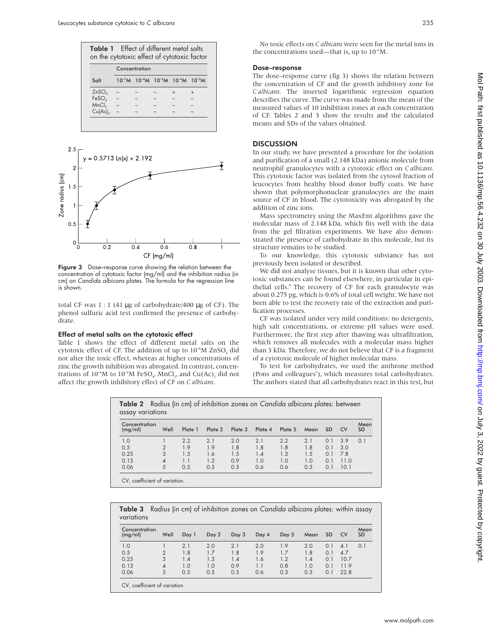|                   |               |  |                                                             | on the cytotoxic effect of cytotoxic factor |  |  |  |
|-------------------|---------------|--|-------------------------------------------------------------|---------------------------------------------|--|--|--|
|                   | Concentration |  |                                                             |                                             |  |  |  |
| $S$ alt           |               |  | $10^{-7}$ M $10^{-6}$ M $10^{-5}$ M $10^{-4}$ M $10^{-3}$ M |                                             |  |  |  |
| ZnSO <sub>A</sub> |               |  |                                                             |                                             |  |  |  |
| FeSO <sub>4</sub> |               |  |                                                             |                                             |  |  |  |
| MnCl <sub>2</sub> |               |  |                                                             |                                             |  |  |  |
| Cu(Ac)            |               |  |                                                             |                                             |  |  |  |



Figure 3 Dose–response curve showing the relation between the concentration of cytotoxic factor (mg/ml) and the inhibition radius (in cm) on Candida albicans plates. The formula for the regression line is shown.

total CF was 1 : 1 (41 µg of carbohydrate/400 µg of CF). The phenol sulfuric acid test confirmed the presence of carbohydrate.

#### Effect of metal salts on the cytotoxic effect

Table 1 shows the effect of different metal salts on the cytotoxic effect of CF. The addition of up to 10<sup>-5</sup>M ZnSO<sub>4</sub> did not alter the toxic effect, whereas at higher concentrations of zinc the growth inhibition was abrogated. In contrast, concentrations of  $10^{-6}M$  to  $10^{-3}M$  FeSO<sub>4</sub>, MnCl<sub>2</sub>, and Cu(Ac)<sub>2</sub> did not affect the growth inhibitory effect of CF on *C albicans*.

No toxic effects on *C albicans* were seen for the metal ions in the concentrations used—that is, up to 10<sup>-3</sup>M.

# Dose–response

The dose–response curve (fig 3) shows the relation between the concentration of CF and the growth inhibitory zone for *C albicans*. The inserted logarithmic regression equation describes the curve. The curve was made from the mean of the measured values of 10 inhibition zones at each concentration of CF. Tables 2 and 3 show the results and the calculated means and SDs of the values obtained.

# **DISCUSSION**

In our study, we have presented a procedure for the isolation and purification of a small (2.148 kDa) anionic molecule from neutrophil granulocytes with a cytotoxic effect on *C albicans*. This cytotoxic factor was isolated from the cytosol fraction of leucocytes from healthy blood donor buffy coats. We have shown that polymorphonuclear granulocytes are the main source of CF in blood. The cytotoxicity was abrogated by the addition of zinc ions.

Mass spectrometry using the MaxEnt algorithms gave the molecular mass of 2.148 kDa, which fits well with the data from the gel filtration experiments. We have also demonstrated the presence of carbohydrate in this molecule, but its structure remains to be studied.

To our knowledge, this cytotoxic substance has not previously been isolated or described.

We did not analyse tissues, but it is known that other cytotoxic substances can be found elsewhere, in particular in epithelial cells.<sup>8</sup> The recovery of CF for each granulocyte was about 0.275 pg, which is 0.6% of total cell weight. We have not been able to test the recovery rate of the extraction and purification processes.

CF was isolated under very mild conditions: no detergents, high salt concentrations, or extreme pH values were used. Furthermore, the first step after thawing was ultrafiltration, which removes all molecules with a molecular mass higher than 3 kDa. Therefore, we do not believe that CF is a fragment of a cytotoxic molecule of higher molecular mass.

To test for carbohydrates, we used the anthrone method (Pons and colleagues<sup>6</sup>), which measures total carbohydrates. The authors stated that all carbohydrates react in this test, but

| Concentration<br>(mg/ml) | Well           | Plate 1 | Plate 2 | Plate 3 | Plate 4 | Plate 5 | Mean | <b>SD</b> | <b>CV</b> | Mean<br><b>SD</b> |
|--------------------------|----------------|---------|---------|---------|---------|---------|------|-----------|-----------|-------------------|
| 1.0                      |                | 2.2     | 2.1     | 2.0     | 2.1     | 2.2     | 2.1  | 0.1       | 3.9       | 0.1               |
| 0.5                      | $\overline{2}$ | 1.9     | 1.9     | 1.8     | 1.8     | 1.8     | 1.8  | 0.1       | 3.0       |                   |
| 0.25                     | 3              | 1.5     | 1.6     | 1.5     | 1.4     | 1.3     | 1.5  | 0.1       | 78        |                   |
| 0.13                     | 4              | 1.1     | 1.2     | 0.9     | 1.0     | 1.0     | 1.0  | 0.1       | 11.0      |                   |
| 0.06                     | 5              | 0.5     | 0.5     | 0.5     | 0.6     | 0.6     | 0.5  | 0.1       | 10.1      |                   |

**Table 3** Radius (in cm) of inhibition zones on Candida albicans plates: within assay variations

| Concentration<br>(mg/ml) | Well           | Day 1 | Day 2 | Day 3 | Day 4 | Day 5 | Mean | <b>SD</b> | <b>CV</b> | Mean<br><b>SD</b> |
|--------------------------|----------------|-------|-------|-------|-------|-------|------|-----------|-----------|-------------------|
| 1.0                      |                | 2.1   | 2.0   | 2.1   | 2.0   | 1.9   | 2.0  | 0.1       | 4.        | 0.1               |
| 0.5                      | $\overline{2}$ | 1.8   | 1.7   | 1.8   | 1.9   | 1.7   | 1.8  | 0.1       | 4.7       |                   |
| 0.25                     | 3              | 1.4   | 1.3   | 1.4   | 1.6   | 1.2   | 1.4  | 0.1       | 10.7      |                   |
| 0.13                     | 4              | 1.0   | 1.0   | 0.9   |       | 0.8   | 1.0  | 0.1       | 11.9      |                   |
| 0.06                     | 5              | 0.5   | 0.5   | 0.5   | 0.6   | 0.3   | 0.5  | 0.1       | 22.8      |                   |